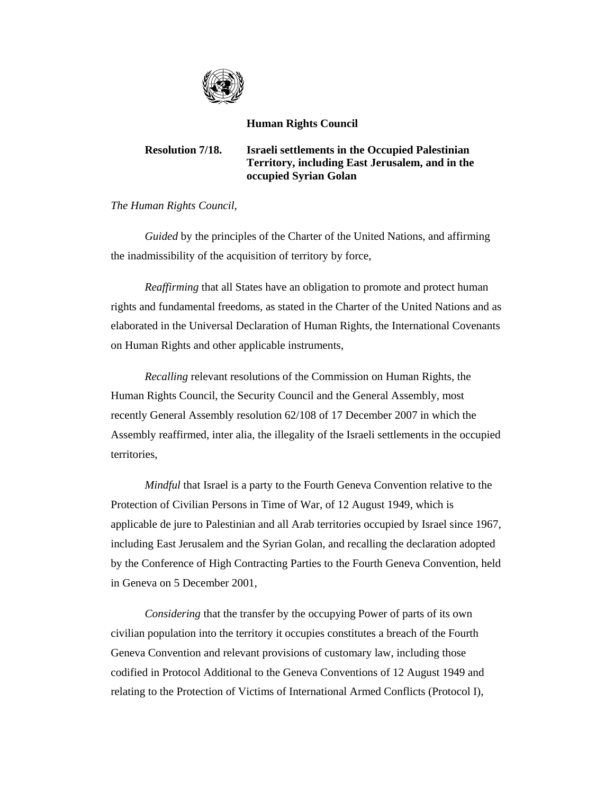

## **Human Rights Council**

## **Resolution 7/18. Israeli settlements in the Occupied Palestinian Territory, including East Jerusalem, and in the occupied Syrian Golan**

*The Human Rights Council*,

 *Guided* by the principles of the Charter of the United Nations, and affirming the inadmissibility of the acquisition of territory by force,

 *Reaffirming* that all States have an obligation to promote and protect human rights and fundamental freedoms, as stated in the Charter of the United Nations and as elaborated in the Universal Declaration of Human Rights, the International Covenants on Human Rights and other applicable instruments,

 *Recalling* relevant resolutions of the Commission on Human Rights, the Human Rights Council, the Security Council and the General Assembly, most recently General Assembly resolution 62/108 of 17 December 2007 in which the Assembly reaffirmed, inter alia, the illegality of the Israeli settlements in the occupied territories,

*Mindful* that Israel is a party to the Fourth Geneva Convention relative to the Protection of Civilian Persons in Time of War, of 12 August 1949, which is applicable de jure to Palestinian and all Arab territories occupied by Israel since 1967, including East Jerusalem and the Syrian Golan, and recalling the declaration adopted by the Conference of High Contracting Parties to the Fourth Geneva Convention, held in Geneva on 5 December 2001,

 *Considering* that the transfer by the occupying Power of parts of its own civilian population into the territory it occupies constitutes a breach of the Fourth Geneva Convention and relevant provisions of customary law, including those codified in Protocol Additional to the Geneva Conventions of 12 August 1949 and relating to the Protection of Victims of International Armed Conflicts (Protocol I),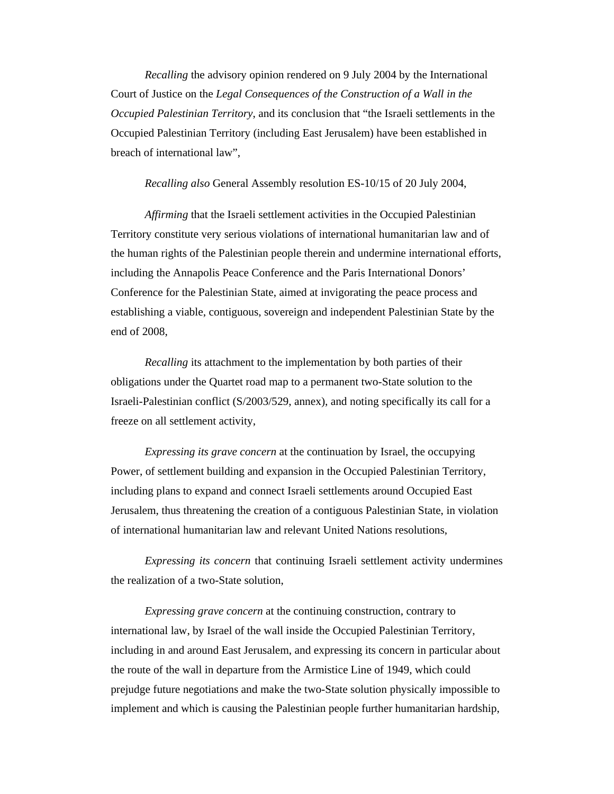*Recalling* the advisory opinion rendered on 9 July 2004 by the International Court of Justice on the *Legal Consequences of the Construction of a Wall in the Occupied Palestinian Territory*, and its conclusion that "the Israeli settlements in the Occupied Palestinian Territory (including East Jerusalem) have been established in breach of international law",

 *Recalling also* General Assembly resolution ES-10/15 of 20 July 2004,

 *Affirming* that the Israeli settlement activities in the Occupied Palestinian Territory constitute very serious violations of international humanitarian law and of the human rights of the Palestinian people therein and undermine international efforts, including the Annapolis Peace Conference and the Paris International Donors' Conference for the Palestinian State, aimed at invigorating the peace process and establishing a viable, contiguous, sovereign and independent Palestinian State by the end of 2008,

*Recalling* its attachment to the implementation by both parties of their obligations under the Quartet road map to a permanent two-State solution to the Israeli-Palestinian conflict (S/2003/529, annex), and noting specifically its call for a freeze on all settlement activity,

 *Expressing its grave concern* at the continuation by Israel, the occupying Power, of settlement building and expansion in the Occupied Palestinian Territory, including plans to expand and connect Israeli settlements around Occupied East Jerusalem, thus threatening the creation of a contiguous Palestinian State, in violation of international humanitarian law and relevant United Nations resolutions,

 *Expressing its concern* that continuing Israeli settlement activity undermines the realization of a two-State solution,

 *Expressing grave concern* at the continuing construction, contrary to international law, by Israel of the wall inside the Occupied Palestinian Territory, including in and around East Jerusalem, and expressing its concern in particular about the route of the wall in departure from the Armistice Line of 1949, which could prejudge future negotiations and make the two-State solution physically impossible to implement and which is causing the Palestinian people further humanitarian hardship,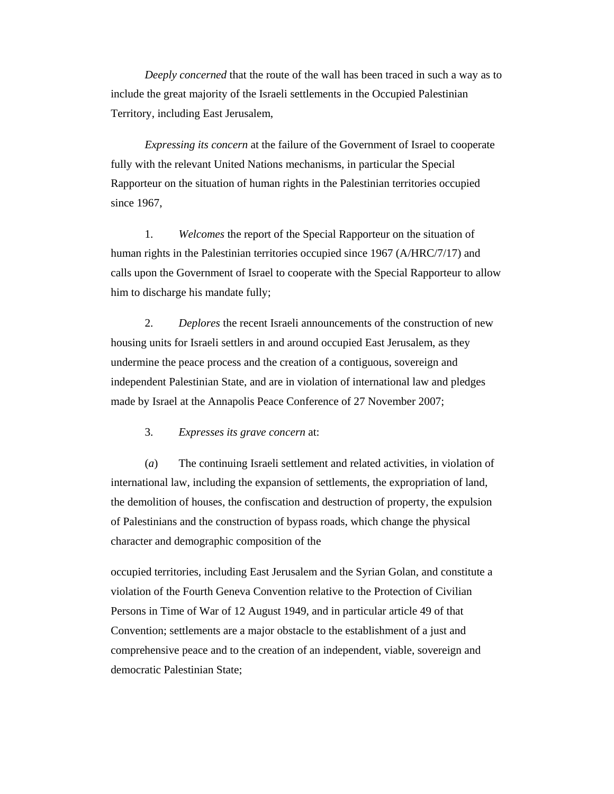*Deeply concerned* that the route of the wall has been traced in such a way as to include the great majority of the Israeli settlements in the Occupied Palestinian Territory, including East Jerusalem,

 *Expressing its concern* at the failure of the Government of Israel to cooperate fully with the relevant United Nations mechanisms, in particular the Special Rapporteur on the situation of human rights in the Palestinian territories occupied since 1967,

 1. *Welcomes* the report of the Special Rapporteur on the situation of human rights in the Palestinian territories occupied since 1967 (A/HRC/7/17) and calls upon the Government of Israel to cooperate with the Special Rapporteur to allow him to discharge his mandate fully;

 2. *Deplores* the recent Israeli announcements of the construction of new housing units for Israeli settlers in and around occupied East Jerusalem, as they undermine the peace process and the creation of a contiguous, sovereign and independent Palestinian State, and are in violation of international law and pledges made by Israel at the Annapolis Peace Conference of 27 November 2007;

3. *Expresses its grave concern* at:

 (*a*) The continuing Israeli settlement and related activities, in violation of international law, including the expansion of settlements, the expropriation of land, the demolition of houses, the confiscation and destruction of property, the expulsion of Palestinians and the construction of bypass roads, which change the physical character and demographic composition of the

occupied territories, including East Jerusalem and the Syrian Golan, and constitute a violation of the Fourth Geneva Convention relative to the Protection of Civilian Persons in Time of War of 12 August 1949, and in particular article 49 of that Convention; settlements are a major obstacle to the establishment of a just and comprehensive peace and to the creation of an independent, viable, sovereign and democratic Palestinian State;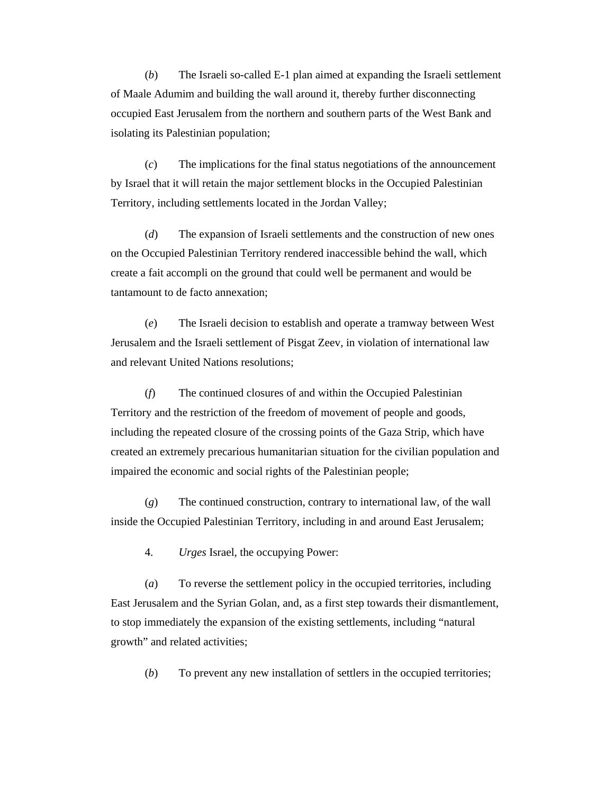(*b*) The Israeli so-called E-1 plan aimed at expanding the Israeli settlement of Maale Adumim and building the wall around it, thereby further disconnecting occupied East Jerusalem from the northern and southern parts of the West Bank and isolating its Palestinian population;

 (*c*) The implications for the final status negotiations of the announcement by Israel that it will retain the major settlement blocks in the Occupied Palestinian Territory, including settlements located in the Jordan Valley;

 (*d*) The expansion of Israeli settlements and the construction of new ones on the Occupied Palestinian Territory rendered inaccessible behind the wall, which create a fait accompli on the ground that could well be permanent and would be tantamount to de facto annexation;

 (*e*) The Israeli decision to establish and operate a tramway between West Jerusalem and the Israeli settlement of Pisgat Zeev, in violation of international law and relevant United Nations resolutions;

 (*f*) The continued closures of and within the Occupied Palestinian Territory and the restriction of the freedom of movement of people and goods, including the repeated closure of the crossing points of the Gaza Strip, which have created an extremely precarious humanitarian situation for the civilian population and impaired the economic and social rights of the Palestinian people;

 (*g*) The continued construction, contrary to international law, of the wall inside the Occupied Palestinian Territory, including in and around East Jerusalem;

4. *Urges* Israel, the occupying Power:

 (*a*) To reverse the settlement policy in the occupied territories, including East Jerusalem and the Syrian Golan, and, as a first step towards their dismantlement, to stop immediately the expansion of the existing settlements, including "natural growth" and related activities;

(*b*) To prevent any new installation of settlers in the occupied territories;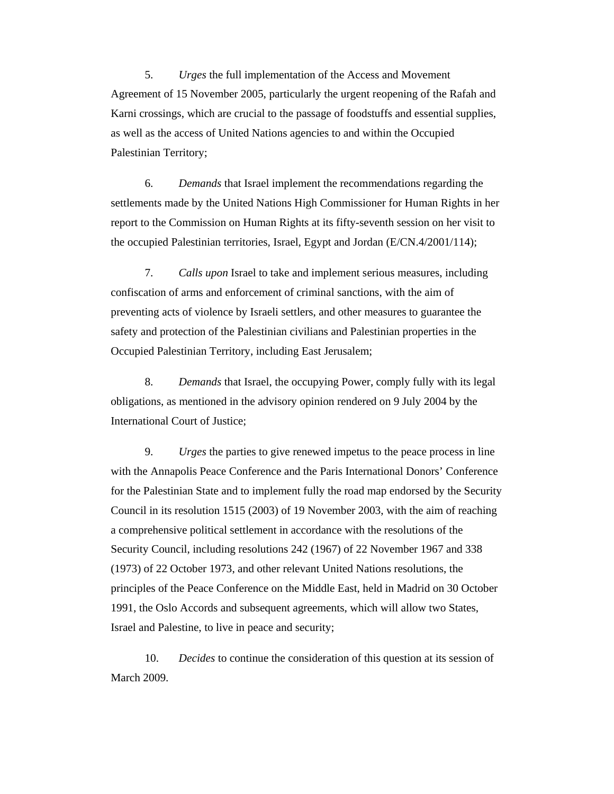5. *Urges* the full implementation of the Access and Movement Agreement of 15 November 2005, particularly the urgent reopening of the Rafah and Karni crossings, which are crucial to the passage of foodstuffs and essential supplies, as well as the access of United Nations agencies to and within the Occupied Palestinian Territory;

 6. *Demands* that Israel implement the recommendations regarding the settlements made by the United Nations High Commissioner for Human Rights in her report to the Commission on Human Rights at its fifty-seventh session on her visit to the occupied Palestinian territories, Israel, Egypt and Jordan (E/CN.4/2001/114);

 7. *Calls upon* Israel to take and implement serious measures, including confiscation of arms and enforcement of criminal sanctions, with the aim of preventing acts of violence by Israeli settlers, and other measures to guarantee the safety and protection of the Palestinian civilians and Palestinian properties in the Occupied Palestinian Territory, including East Jerusalem;

 8. *Demands* that Israel, the occupying Power, comply fully with its legal obligations, as mentioned in the advisory opinion rendered on 9 July 2004 by the International Court of Justice;

 9. *Urges* the parties to give renewed impetus to the peace process in line with the Annapolis Peace Conference and the Paris International Donors' Conference for the Palestinian State and to implement fully the road map endorsed by the Security Council in its resolution 1515 (2003) of 19 November 2003, with the aim of reaching a comprehensive political settlement in accordance with the resolutions of the Security Council, including resolutions 242 (1967) of 22 November 1967 and 338 (1973) of 22 October 1973, and other relevant United Nations resolutions, the principles of the Peace Conference on the Middle East, held in Madrid on 30 October 1991, the Oslo Accords and subsequent agreements, which will allow two States, Israel and Palestine, to live in peace and security;

 10. *Decides* to continue the consideration of this question at its session of March 2009.